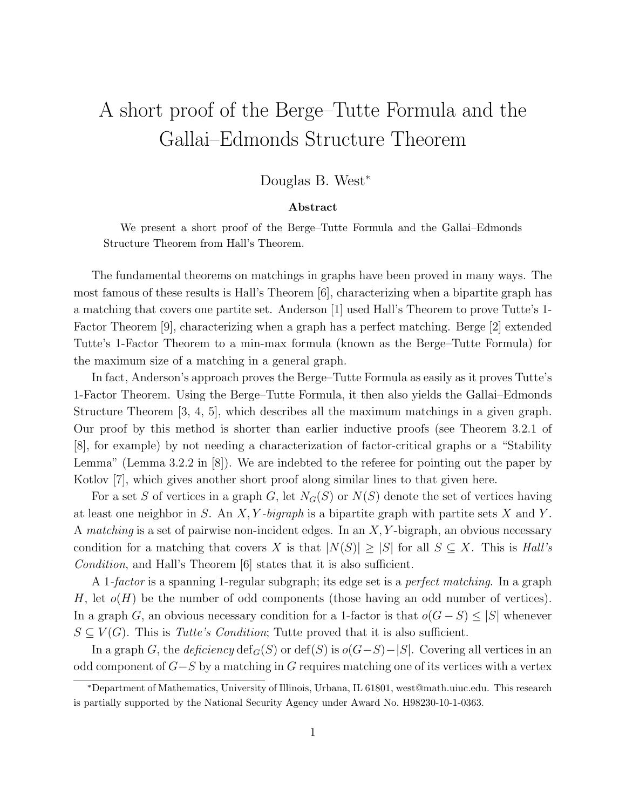## A short proof of the Berge–Tutte Formula and the Gallai–Edmonds Structure Theorem

## Douglas B. West<sup>∗</sup>

## Abstract

We present a short proof of the Berge–Tutte Formula and the Gallai–Edmonds Structure Theorem from Hall's Theorem.

The fundamental theorems on matchings in graphs have been proved in many ways. The most famous of these results is Hall's Theorem [6], characterizing when a bipartite graph has a matching that covers one partite set. Anderson [1] used Hall's Theorem to prove Tutte's 1- Factor Theorem [9], characterizing when a graph has a perfect matching. Berge [2] extended Tutte's 1-Factor Theorem to a min-max formula (known as the Berge–Tutte Formula) for the maximum size of a matching in a general graph.

In fact, Anderson's approach proves the Berge–Tutte Formula as easily as it proves Tutte's 1-Factor Theorem. Using the Berge–Tutte Formula, it then also yields the Gallai–Edmonds Structure Theorem [3, 4, 5], which describes all the maximum matchings in a given graph. Our proof by this method is shorter than earlier inductive proofs (see Theorem 3.2.1 of [8], for example) by not needing a characterization of factor-critical graphs or a "Stability Lemma" (Lemma 3.2.2 in [8]). We are indebted to the referee for pointing out the paper by Kotlov [7], which gives another short proof along similar lines to that given here.

For a set S of vertices in a graph G, let  $N_G(S)$  or  $N(S)$  denote the set of vertices having at least one neighbor in S. An  $X, Y$ -bigraph is a bipartite graph with partite sets X and Y. A matching is a set of pairwise non-incident edges. In an  $X, Y$ -bigraph, an obvious necessary condition for a matching that covers X is that  $|N(S)| \geq |S|$  for all  $S \subseteq X$ . This is Hall's Condition, and Hall's Theorem [6] states that it is also sufficient.

A 1-factor is a spanning 1-regular subgraph; its edge set is a *perfect matching*. In a graph H, let  $o(H)$  be the number of odd components (those having an odd number of vertices). In a graph G, an obvious necessary condition for a 1-factor is that  $o(G-S) \leq |S|$  whenever  $S \subseteq V(G)$ . This is Tutte's Condition; Tutte proved that it is also sufficient.

In a graph G, the deficiency  $\text{def}_G(S)$  or  $\text{def}(S)$  is  $o(G-S)-|S|$ . Covering all vertices in an odd component of  $G-S$  by a matching in G requires matching one of its vertices with a vertex

<sup>∗</sup>Department of Mathematics, University of Illinois, Urbana, IL 61801, west@math.uiuc.edu. This research is partially supported by the National Security Agency under Award No. H98230-10-1-0363.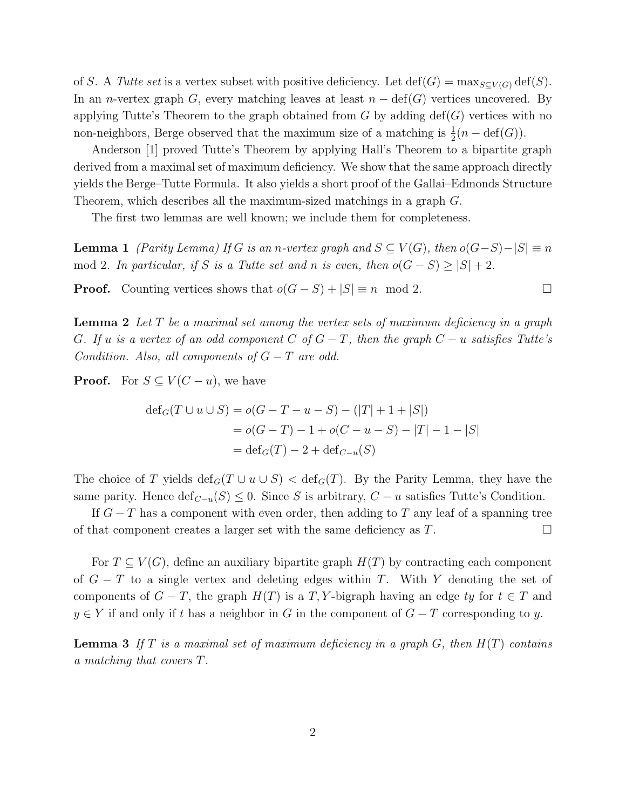of S. A Tutte set is a vertex subset with positive deficiency. Let  $\det(G) = \max_{S \subset V(G)} \det(S)$ . In an n-vertex graph G, every matching leaves at least  $n - \text{def}(G)$  vertices uncovered. By applying Tutte's Theorem to the graph obtained from  $G$  by adding  $\text{def}(G)$  vertices with no non-neighbors, Berge observed that the maximum size of a matching is  $\frac{1}{2}(n - \text{def}(G))$ .

Anderson [1] proved Tutte's Theorem by applying Hall's Theorem to a bipartite graph derived from a maximal set of maximum deficiency. We show that the same approach directly yields the Berge–Tutte Formula. It also yields a short proof of the Gallai–Edmonds Structure Theorem, which describes all the maximum-sized matchings in a graph G.

The first two lemmas are well known; we include them for completeness.

**Lemma 1** (Parity Lemma) If G is an n-vertex graph and  $S \subseteq V(G)$ , then  $o(G-S) - |S| \equiv n$ mod 2. In particular, if S is a Tutte set and n is even, then  $o(G-S) \geq |S| + 2$ .

**Proof.** Counting vertices shows that  $o(G - S) + |S| \equiv n \mod 2$ .

**Lemma 2** Let  $T$  be a maximal set among the vertex sets of maximum deficiency in a graph G. If u is a vertex of an odd component C of  $G-T$ , then the graph  $C-u$  satisfies Tutte's Condition. Also, all components of  $G-T$  are odd.

**Proof.** For  $S \subseteq V(C - u)$ , we have

$$
def_G(T \cup u \cup S) = o(G - T - u - S) - (|T| + 1 + |S|)
$$
  
= o(G - T) - 1 + o(C - u - S) - |T| - 1 - |S|  
= def\_G(T) - 2 + def\_{C-u}(S)

The choice of T yields  $\det_G(T \cup u \cup S) < \det_G(T)$ . By the Parity Lemma, they have the same parity. Hence  $\text{def}_{C-u}(S) \leq 0$ . Since S is arbitrary,  $C - u$  satisfies Tutte's Condition.

If  $G-T$  has a component with even order, then adding to T any leaf of a spanning tree of that component creates a larger set with the same deficiency as  $T$ .

For  $T \subseteq V(G)$ , define an auxiliary bipartite graph  $H(T)$  by contracting each component of  $G - T$  to a single vertex and deleting edges within T. With Y denoting the set of components of  $G - T$ , the graph  $H(T)$  is a T, Y-bigraph having an edge ty for  $t \in T$  and  $y \in Y$  if and only if t has a neighbor in G in the component of  $G - T$  corresponding to y.

**Lemma 3** If T is a maximal set of maximum deficiency in a graph  $G$ , then  $H(T)$  contains a matching that covers T.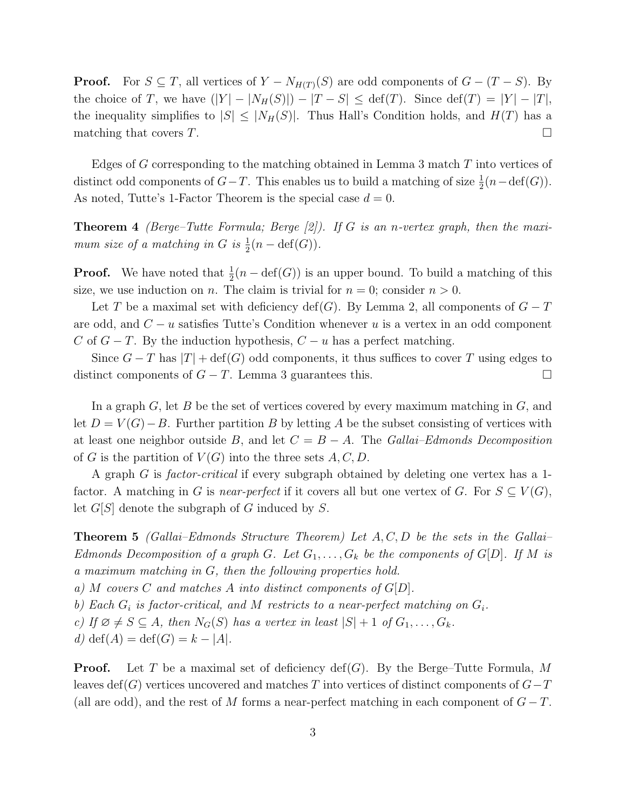**Proof.** For  $S \subseteq T$ , all vertices of  $Y - N_{H(T)}(S)$  are odd components of  $G - (T - S)$ . By the choice of T, we have  $(|Y| - |N_H(S)|) - |T - S| \leq \text{def}(T)$ . Since  $\text{def}(T) = |Y| - |T|$ , the inequality simplifies to  $|S| \leq |N_H(S)|$ . Thus Hall's Condition holds, and  $H(T)$  has a matching that covers  $T$ .

Edges of G corresponding to the matching obtained in Lemma 3 match  $T$  into vertices of distinct odd components of  $G-T$ . This enables us to build a matching of size  $\frac{1}{2}(n-\text{def}(G))$ . As noted, Tutte's 1-Factor Theorem is the special case  $d = 0$ .

**Theorem 4** (Berge–Tutte Formula; Berge  $[2]$ ). If G is an n-vertex graph, then the maximum size of a matching in G is  $\frac{1}{2}(n-\text{def}(G)).$ 

**Proof.** We have noted that  $\frac{1}{2}(n - \text{def}(G))$  is an upper bound. To build a matching of this size, we use induction on n. The claim is trivial for  $n = 0$ ; consider  $n > 0$ .

Let T be a maximal set with deficiency def(G). By Lemma 2, all components of  $G-T$ are odd, and  $C - u$  satisfies Tutte's Condition whenever u is a vertex in an odd component C of  $G - T$ . By the induction hypothesis,  $C - u$  has a perfect matching.

Since  $G-T$  has  $|T| + \text{def}(G)$  odd components, it thus suffices to cover T using edges to distinct components of  $G - T$ . Lemma 3 guarantees this.  $\Box$ 

In a graph  $G$ , let  $B$  be the set of vertices covered by every maximum matching in  $G$ , and let  $D = V(G) - B$ . Further partition B by letting A be the subset consisting of vertices with at least one neighbor outside B, and let  $C = B - A$ . The Gallai–Edmonds Decomposition of G is the partition of  $V(G)$  into the three sets A, C, D.

A graph G is *factor-critical* if every subgraph obtained by deleting one vertex has a 1factor. A matching in G is near-perfect if it covers all but one vertex of G. For  $S \subseteq V(G)$ , let  $G[S]$  denote the subgraph of G induced by S.

**Theorem 5** (Gallai–Edmonds Structure Theorem) Let  $A, C, D$  be the sets in the Gallai– Edmonds Decomposition of a graph G. Let  $G_1, \ldots, G_k$  be the components of  $G[D]$ . If M is a maximum matching in G, then the following properties hold.

a) M covers C and matches A into distinct components of  $G[D]$ .

b) Each  $G_i$  is factor-critical, and M restricts to a near-perfect matching on  $G_i$ .

c) If  $\emptyset \neq S \subseteq A$ , then  $N_G(S)$  has a vertex in least  $|S| + 1$  of  $G_1, \ldots, G_k$ .

d)  $\text{def}(A) = \text{def}(G) = k - |A|.$ 

**Proof.** Let T be a maximal set of deficiency  $\text{def}(G)$ . By the Berge–Tutte Formula, M leaves def(G) vertices uncovered and matches T into vertices of distinct components of  $G-T$ (all are odd), and the rest of M forms a near-perfect matching in each component of  $G-T$ .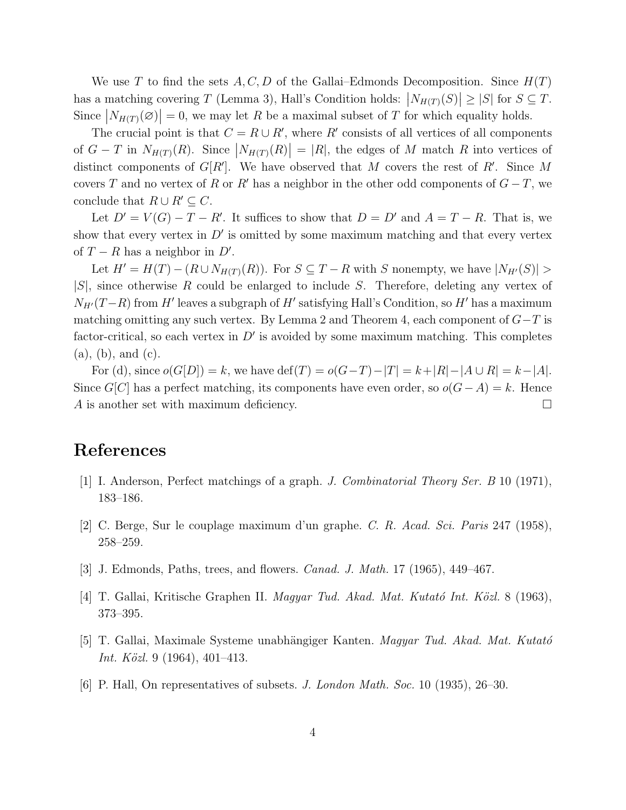We use T to find the sets  $A, C, D$  of the Gallai–Edmonds Decomposition. Since  $H(T)$ has a matching covering T (Lemma 3), Hall's Condition holds:  $|N_{H(T)}(S)| \geq |S|$  for  $S \subseteq T$ . Since  $|N_{H(T)}(\emptyset)| = 0$ , we may let R be a maximal subset of T for which equality holds.

The crucial point is that  $C = R \cup R'$ , where R' consists of all vertices of all components of  $G - T$  in  $N_{H(T)}(R)$ . Since  $|N_{H(T)}(R)| = |R|$ , the edges of M match R into vertices of distinct components of  $G[R']$ . We have observed that M covers the rest of R'. Since M covers T and no vertex of R or R' has a neighbor in the other odd components of  $G-T$ , we conclude that  $R \cup R' \subseteq C$ .

Let  $D' = V(G) - T - R'$ . It suffices to show that  $D = D'$  and  $A = T - R$ . That is, we show that every vertex in  $D'$  is omitted by some maximum matching and that every vertex of  $T - R$  has a neighbor in  $D'$ .

Let  $H' = H(T) - (R \cup N_{H(T)}(R))$ . For  $S \subseteq T - R$  with S nonempty, we have  $|N_{H'}(S)| >$  $|S|$ , since otherwise R could be enlarged to include S. Therefore, deleting any vertex of  $N_{H'}(T-R)$  from H' leaves a subgraph of H' satisfying Hall's Condition, so H' has a maximum matching omitting any such vertex. By Lemma 2 and Theorem 4, each component of  $G-T$  is factor-critical, so each vertex in  $D'$  is avoided by some maximum matching. This completes (a), (b), and (c).

For (d), since  $o(G[D]) = k$ , we have  $\text{def}(T) = o(G-T) - |T| = k + |R| - |A \cup R| = k - |A|$ . Since  $G[C]$  has a perfect matching, its components have even order, so  $o(G-A) = k$ . Hence A is another set with maximum deficiency.  $\Box$ 

## References

- [1] I. Anderson, Perfect matchings of a graph. J. Combinatorial Theory Ser. B 10 (1971), 183–186.
- [2] C. Berge, Sur le couplage maximum d'un graphe. C. R. Acad. Sci. Paris 247 (1958), 258–259.
- [3] J. Edmonds, Paths, trees, and flowers. Canad. J. Math. 17 (1965), 449–467.
- [4] T. Gallai, Kritische Graphen II. *Magyar Tud. Akad. Mat. Kutató Int. Közl.* 8 (1963), 373–395.
- [5] T. Gallai, Maximale Systeme unabhängiger Kanten. *Magyar Tud. Akad. Mat. Kutató Int. Közl.* 9 (1964), 401–413.
- [6] P. Hall, On representatives of subsets. J. London Math. Soc. 10 (1935), 26–30.